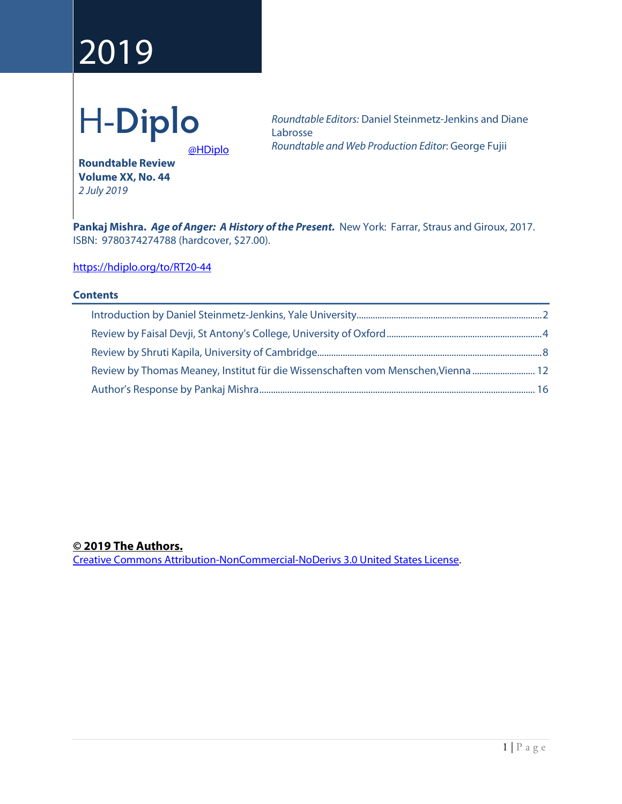# 2019



*Roundtable Editors:* Daniel Steinmetz-Jenkins and Diane Labrosse *Roundtable and Web Production Editor*: George Fujii

[@HDiplo](https://www.twitter.com/HDiplo)

**Roundtable Review Volume XX, No. 44** *2 July 2019*

**Pankaj Mishra.** *Age of Anger: A History of the Present.*New York:Farrar, Straus and Giroux, 2017. ISBN: 9780374274788 (hardcover, \$27.00).

<https://hdiplo.org/to/RT20-44>

# **Contents**

# **© 2019 The Authors.**

[Creative Commons Attribution-NonCommercial-NoDerivs 3.0 United States License.](https://creativecommons.org/licenses/by-nc-nd/3.0/us/)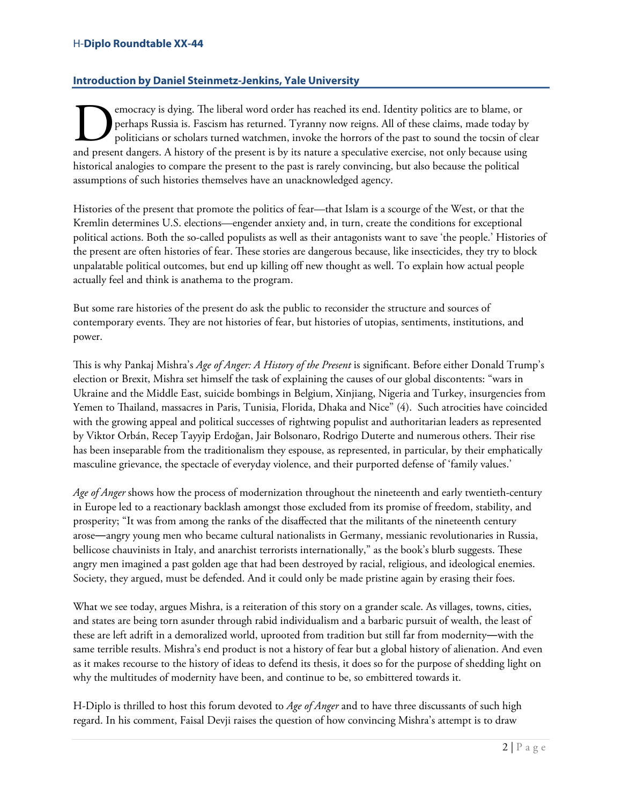# H-**Diplo Roundtable XX-44**

# <span id="page-1-0"></span>**Introduction by Daniel Steinmetz-Jenkins, Yale University**

emocracy is dying. The liberal word order has reached its end. Identity politics are to blame, or perhaps Russia is. Fascism has returned. Tyranny now reigns. All of these claims, made today by politicians or scholars turned watchmen, invoke the horrors of the past to sound the tocsin of clear **and present dangers.** A history of the present is by its nature a speculative exercise, not only because using present dangers. A history of the present is by its nature a speculative exercise, not only because using a sp historical analogies to compare the present to the past is rarely convincing, but also because the political assumptions of such histories themselves have an unacknowledged agency.

Histories of the present that promote the politics of fear—that Islam is a scourge of the West, or that the Kremlin determines U.S. elections—engender anxiety and, in turn, create the conditions for exceptional political actions. Both the so-called populists as well as their antagonists want to save 'the people.' Histories of the present are often histories of fear. These stories are dangerous because, like insecticides, they try to block unpalatable political outcomes, but end up killing off new thought as well. To explain how actual people actually feel and think is anathema to the program.

But some rare histories of the present do ask the public to reconsider the structure and sources of contemporary events. They are not histories of fear, but histories of utopias, sentiments, institutions, and power.

This is why Pankaj Mishra's *Age of Anger: A History of the Present* is significant. Before either Donald Trump's election or Brexit, Mishra set himself the task of explaining the causes of our global discontents: "wars in Ukraine and the Middle East, suicide bombings in Belgium, Xinjiang, Nigeria and Turkey, insurgencies from Yemen to Thailand, massacres in Paris, Tunisia, Florida, Dhaka and Nice" (4). Such atrocities have coincided with the growing appeal and political successes of rightwing populist and authoritarian leaders as represented by Viktor Orbán, Recep Tayyip Erdoğan, Jair Bolsonaro, Rodrigo Duterte and numerous others. Their rise has been inseparable from the traditionalism they espouse, as represented, in particular, by their emphatically masculine grievance, the spectacle of everyday violence, and their purported defense of 'family values.'

*Age of Anger* shows how the process of modernization throughout the nineteenth and early twentieth-century in Europe led to a reactionary backlash amongst those excluded from its promise of freedom, stability, and prosperity; "It was from among the ranks of the disaffected that the militants of the nineteenth century arose―angry young men who became cultural nationalists in Germany, messianic revolutionaries in Russia, bellicose chauvinists in Italy, and anarchist terrorists internationally," as the book's blurb suggests. These angry men imagined a past golden age that had been destroyed by racial, religious, and ideological enemies. Society, they argued, must be defended. And it could only be made pristine again by erasing their foes.

What we see today, argues Mishra, is a reiteration of this story on a grander scale. As villages, towns, cities, and states are being torn asunder through rabid individualism and a barbaric pursuit of wealth, the least of these are left adrift in a demoralized world, uprooted from tradition but still far from modernity―with the same terrible results. Mishra's end product is not a history of fear but a global history of alienation. And even as it makes recourse to the history of ideas to defend its thesis, it does so for the purpose of shedding light on why the multitudes of modernity have been, and continue to be, so embittered towards it.

H-Diplo is thrilled to host this forum devoted to *Age of Anger* and to have three discussants of such high regard. In his comment, Faisal Devji raises the question of how convincing Mishra's attempt is to draw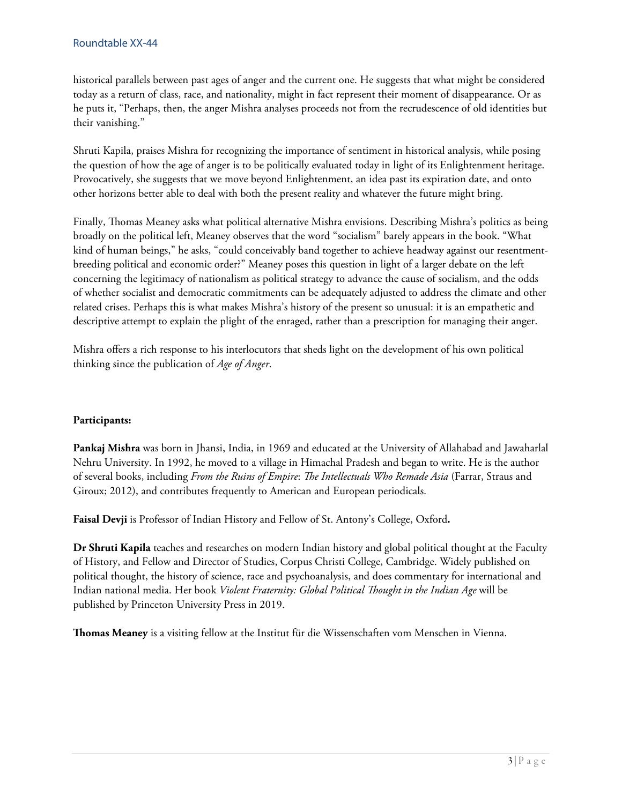historical parallels between past ages of anger and the current one. He suggests that what might be considered today as a return of class, race, and nationality, might in fact represent their moment of disappearance. Or as he puts it, "Perhaps, then, the anger Mishra analyses proceeds not from the recrudescence of old identities but their vanishing."

Shruti Kapila, praises Mishra for recognizing the importance of sentiment in historical analysis, while posing the question of how the age of anger is to be politically evaluated today in light of its Enlightenment heritage. Provocatively, she suggests that we move beyond Enlightenment, an idea past its expiration date, and onto other horizons better able to deal with both the present reality and whatever the future might bring.

Finally, Thomas Meaney asks what political alternative Mishra envisions. Describing Mishra's politics as being broadly on the political left, Meaney observes that the word "socialism" barely appears in the book. "What kind of human beings," he asks, "could conceivably band together to achieve headway against our resentmentbreeding political and economic order?" Meaney poses this question in light of a larger debate on the left concerning the legitimacy of nationalism as political strategy to advance the cause of socialism, and the odds of whether socialist and democratic commitments can be adequately adjusted to address the climate and other related crises. Perhaps this is what makes Mishra's history of the present so unusual: it is an empathetic and descriptive attempt to explain the plight of the enraged, rather than a prescription for managing their anger.

Mishra offers a rich response to his interlocutors that sheds light on the development of his own political thinking since the publication of *Age of Anger*.

# **Participants:**

**Pankaj Mishra** was born in Jhansi, India, in 1969 and educated at the University of Allahabad and Jawaharlal Nehru University. In 1992, he moved to a village in Himachal Pradesh and began to write. He is the author of several books, including *From the Ruins of Empire*: *The Intellectuals Who Remade Asia* (Farrar, Straus and Giroux; 2012), and contributes frequently to American and European periodicals.

**Faisal Devji** is Professor of Indian History and Fellow of St. Antony's College, Oxford**.**

**Dr Shruti Kapila** teaches and researches on modern Indian history and global political thought at the Faculty of History, and Fellow and Director of Studies, Corpus Christi College, Cambridge. Widely published on political thought, the history of science, race and psychoanalysis, and does commentary for international and Indian national media. Her book *Violent Fraternity: Global Political Thought in the Indian Age* will be published by Princeton University Press in 2019.

**omas Meaney** is a visiting fellow at the Institut für die Wissenschaften vom Menschen in Vienna.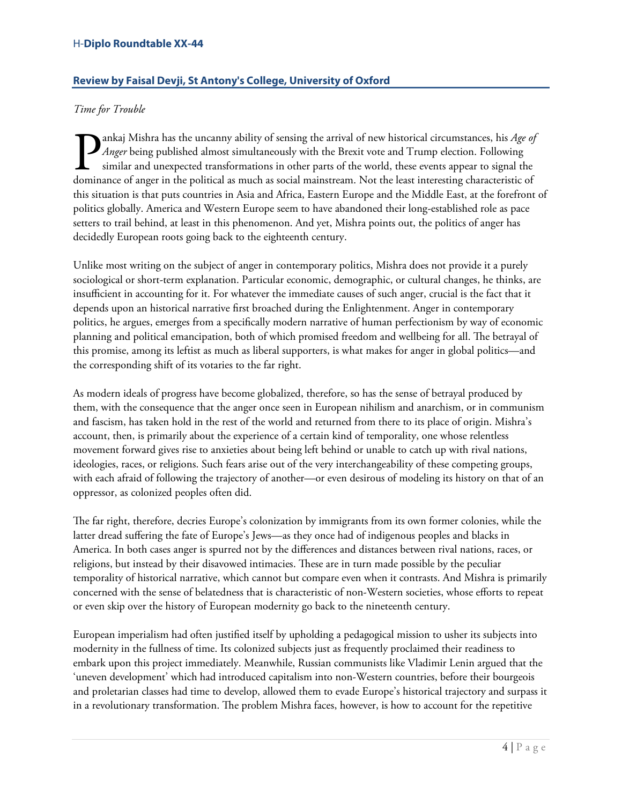# H-**Diplo Roundtable XX-44**

# <span id="page-3-0"></span>**Review by Faisal Devji, St Antony's College, University of Oxford**

# *Time for Trouble*

ankaj Mishra has the uncanny ability of sensing the arrival of new historical circumstances, his *Age of Anger* being published almost simultaneously with the Brexit vote and Trump election. Following similar and unexpected transformations in other parts of the world, these events appear to signal the **D** ankaj Mishra has the uncanny ability of sensing the arrival of new historical circumstances, his Age of Anger being published almost simultaneously with the Brexit vote and Trump election. Following similar and unexpec this situation is that puts countries in Asia and Africa, Eastern Europe and the Middle East, at the forefront of politics globally. America and Western Europe seem to have abandoned their long-established role as pace setters to trail behind, at least in this phenomenon. And yet, Mishra points out, the politics of anger has decidedly European roots going back to the eighteenth century.

Unlike most writing on the subject of anger in contemporary politics, Mishra does not provide it a purely sociological or short-term explanation. Particular economic, demographic, or cultural changes, he thinks, are insufficient in accounting for it. For whatever the immediate causes of such anger, crucial is the fact that it depends upon an historical narrative first broached during the Enlightenment. Anger in contemporary politics, he argues, emerges from a specifically modern narrative of human perfectionism by way of economic planning and political emancipation, both of which promised freedom and wellbeing for all. The betrayal of this promise, among its leftist as much as liberal supporters, is what makes for anger in global politics—and the corresponding shift of its votaries to the far right.

As modern ideals of progress have become globalized, therefore, so has the sense of betrayal produced by them, with the consequence that the anger once seen in European nihilism and anarchism, or in communism and fascism, has taken hold in the rest of the world and returned from there to its place of origin. Mishra's account, then, is primarily about the experience of a certain kind of temporality, one whose relentless movement forward gives rise to anxieties about being left behind or unable to catch up with rival nations, ideologies, races, or religions. Such fears arise out of the very interchangeability of these competing groups, with each afraid of following the trajectory of another—or even desirous of modeling its history on that of an oppressor, as colonized peoples often did.

The far right, therefore, decries Europe's colonization by immigrants from its own former colonies, while the latter dread suffering the fate of Europe's Jews—as they once had of indigenous peoples and blacks in America. In both cases anger is spurred not by the differences and distances between rival nations, races, or religions, but instead by their disavowed intimacies. These are in turn made possible by the peculiar temporality of historical narrative, which cannot but compare even when it contrasts. And Mishra is primarily concerned with the sense of belatedness that is characteristic of non-Western societies, whose efforts to repeat or even skip over the history of European modernity go back to the nineteenth century.

European imperialism had often justified itself by upholding a pedagogical mission to usher its subjects into modernity in the fullness of time. Its colonized subjects just as frequently proclaimed their readiness to embark upon this project immediately. Meanwhile, Russian communists like Vladimir Lenin argued that the 'uneven development' which had introduced capitalism into non-Western countries, before their bourgeois and proletarian classes had time to develop, allowed them to evade Europe's historical trajectory and surpass it in a revolutionary transformation. The problem Mishra faces, however, is how to account for the repetitive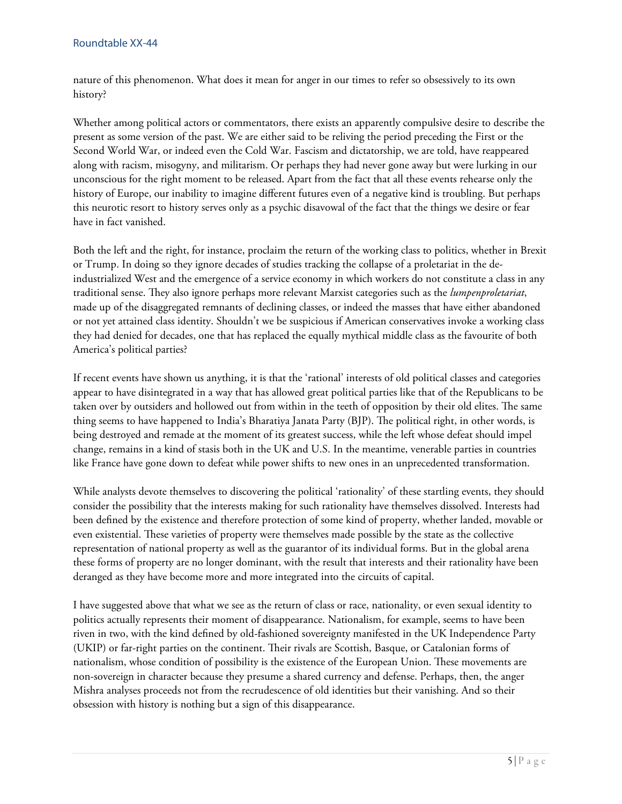nature of this phenomenon. What does it mean for anger in our times to refer so obsessively to its own history?

Whether among political actors or commentators, there exists an apparently compulsive desire to describe the present as some version of the past. We are either said to be reliving the period preceding the First or the Second World War, or indeed even the Cold War. Fascism and dictatorship, we are told, have reappeared along with racism, misogyny, and militarism. Or perhaps they had never gone away but were lurking in our unconscious for the right moment to be released. Apart from the fact that all these events rehearse only the history of Europe, our inability to imagine different futures even of a negative kind is troubling. But perhaps this neurotic resort to history serves only as a psychic disavowal of the fact that the things we desire or fear have in fact vanished.

Both the left and the right, for instance, proclaim the return of the working class to politics, whether in Brexit or Trump. In doing so they ignore decades of studies tracking the collapse of a proletariat in the deindustrialized West and the emergence of a service economy in which workers do not constitute a class in any traditional sense. They also ignore perhaps more relevant Marxist categories such as the *lumpenproletariat*, made up of the disaggregated remnants of declining classes, or indeed the masses that have either abandoned or not yet attained class identity. Shouldn't we be suspicious if American conservatives invoke a working class they had denied for decades, one that has replaced the equally mythical middle class as the favourite of both America's political parties?

If recent events have shown us anything, it is that the 'rational' interests of old political classes and categories appear to have disintegrated in a way that has allowed great political parties like that of the Republicans to be taken over by outsiders and hollowed out from within in the teeth of opposition by their old elites. The same thing seems to have happened to India's Bharatiya Janata Party (BJP). The political right, in other words, is being destroyed and remade at the moment of its greatest success, while the left whose defeat should impel change, remains in a kind of stasis both in the UK and U.S. In the meantime, venerable parties in countries like France have gone down to defeat while power shifts to new ones in an unprecedented transformation.

While analysts devote themselves to discovering the political 'rationality' of these startling events, they should consider the possibility that the interests making for such rationality have themselves dissolved. Interests had been defined by the existence and therefore protection of some kind of property, whether landed, movable or even existential. These varieties of property were themselves made possible by the state as the collective representation of national property as well as the guarantor of its individual forms. But in the global arena these forms of property are no longer dominant, with the result that interests and their rationality have been deranged as they have become more and more integrated into the circuits of capital.

I have suggested above that what we see as the return of class or race, nationality, or even sexual identity to politics actually represents their moment of disappearance. Nationalism, for example, seems to have been riven in two, with the kind defined by old-fashioned sovereignty manifested in the UK Independence Party (UKIP) or far-right parties on the continent. Their rivals are Scottish, Basque, or Catalonian forms of nationalism, whose condition of possibility is the existence of the European Union. These movements are non-sovereign in character because they presume a shared currency and defense. Perhaps, then, the anger Mishra analyses proceeds not from the recrudescence of old identities but their vanishing. And so their obsession with history is nothing but a sign of this disappearance.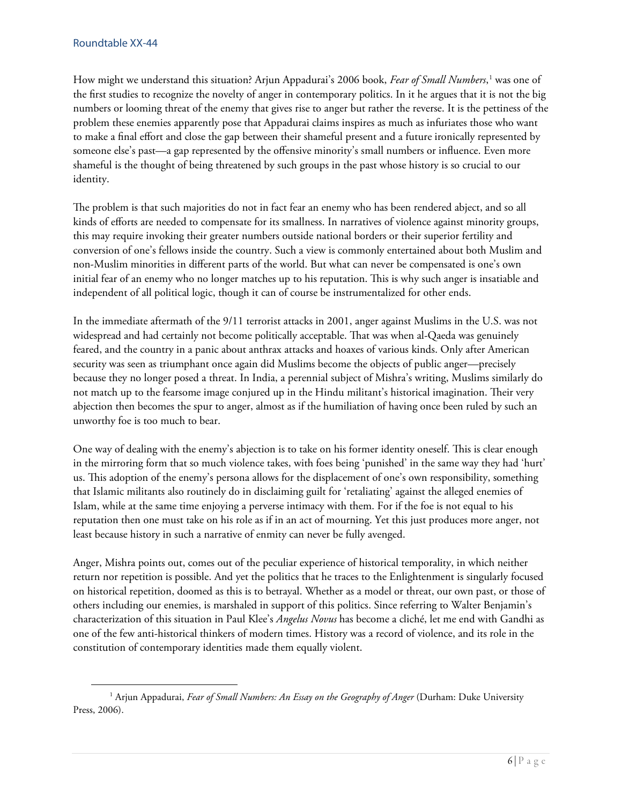How might we understand this situation? Arjun Appadurai's 2006 book, *Fear of Small Numbers*, [1](#page-5-0) was one of the first studies to recognize the novelty of anger in contemporary politics. In it he argues that it is not the big numbers or looming threat of the enemy that gives rise to anger but rather the reverse. It is the pettiness of the problem these enemies apparently pose that Appadurai claims inspires as much as infuriates those who want to make a final effort and close the gap between their shameful present and a future ironically represented by someone else's past—a gap represented by the offensive minority's small numbers or influence. Even more shameful is the thought of being threatened by such groups in the past whose history is so crucial to our identity.

The problem is that such majorities do not in fact fear an enemy who has been rendered abject, and so all kinds of efforts are needed to compensate for its smallness. In narratives of violence against minority groups, this may require invoking their greater numbers outside national borders or their superior fertility and conversion of one's fellows inside the country. Such a view is commonly entertained about both Muslim and non-Muslim minorities in different parts of the world. But what can never be compensated is one's own initial fear of an enemy who no longer matches up to his reputation. This is why such anger is insatiable and independent of all political logic, though it can of course be instrumentalized for other ends.

In the immediate aftermath of the 9/11 terrorist attacks in 2001, anger against Muslims in the U.S. was not widespread and had certainly not become politically acceptable. That was when al-Qaeda was genuinely feared, and the country in a panic about anthrax attacks and hoaxes of various kinds. Only after American security was seen as triumphant once again did Muslims become the objects of public anger—precisely because they no longer posed a threat. In India, a perennial subject of Mishra's writing, Muslims similarly do not match up to the fearsome image conjured up in the Hindu militant's historical imagination. Their very abjection then becomes the spur to anger, almost as if the humiliation of having once been ruled by such an unworthy foe is too much to bear.

One way of dealing with the enemy's abjection is to take on his former identity oneself. This is clear enough in the mirroring form that so much violence takes, with foes being 'punished' in the same way they had 'hurt' us. This adoption of the enemy's persona allows for the displacement of one's own responsibility, something that Islamic militants also routinely do in disclaiming guilt for 'retaliating' against the alleged enemies of Islam, while at the same time enjoying a perverse intimacy with them. For if the foe is not equal to his reputation then one must take on his role as if in an act of mourning. Yet this just produces more anger, not least because history in such a narrative of enmity can never be fully avenged.

Anger, Mishra points out, comes out of the peculiar experience of historical temporality, in which neither return nor repetition is possible. And yet the politics that he traces to the Enlightenment is singularly focused on historical repetition, doomed as this is to betrayal. Whether as a model or threat, our own past, or those of others including our enemies, is marshaled in support of this politics. Since referring to Walter Benjamin's characterization of this situation in Paul Klee's *Angelus Novus* has become a cliché, let me end with Gandhi as one of the few anti-historical thinkers of modern times. History was a record of violence, and its role in the constitution of contemporary identities made them equally violent.

<span id="page-5-0"></span><sup>&</sup>lt;sup>1</sup> Arjun Appadurai, *Fear of Small Numbers: An Essay on the Geography of Anger* (Durham: Duke University Press, 2006).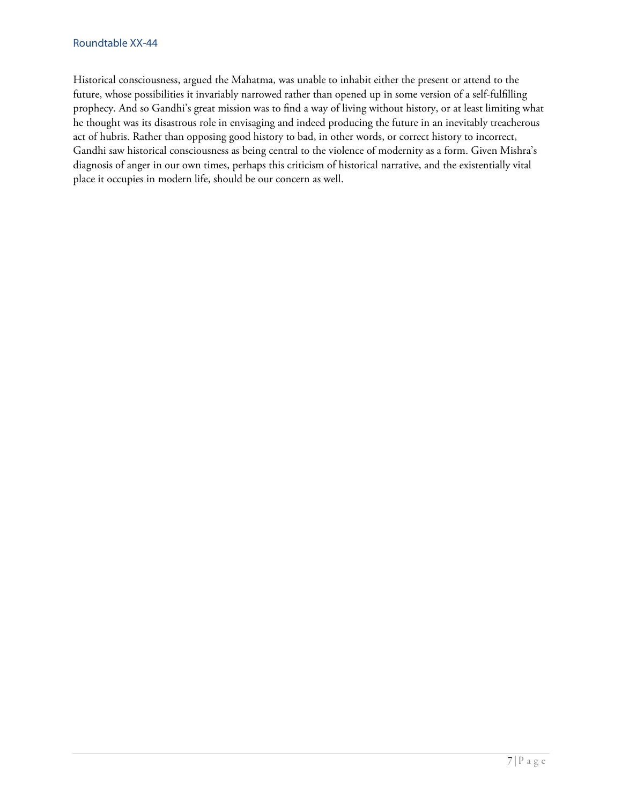Historical consciousness, argued the Mahatma, was unable to inhabit either the present or attend to the future, whose possibilities it invariably narrowed rather than opened up in some version of a self-fulfilling prophecy. And so Gandhi's great mission was to find a way of living without history, or at least limiting what he thought was its disastrous role in envisaging and indeed producing the future in an inevitably treacherous act of hubris. Rather than opposing good history to bad, in other words, or correct history to incorrect, Gandhi saw historical consciousness as being central to the violence of modernity as a form. Given Mishra's diagnosis of anger in our own times, perhaps this criticism of historical narrative, and the existentially vital place it occupies in modern life, should be our concern as well.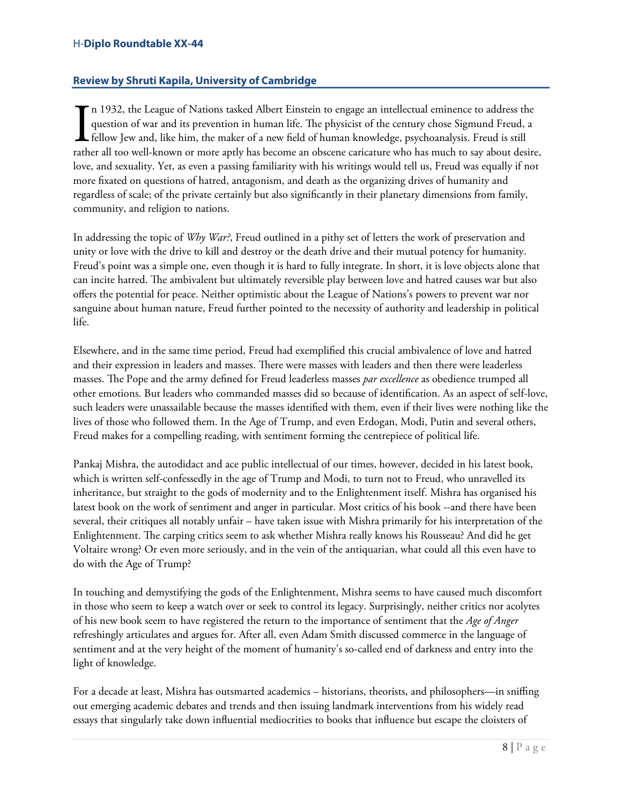#### H-**Diplo Roundtable XX-44**

# <span id="page-7-0"></span>**Review by Shruti Kapila, University of Cambridge**

n 1932, the League of Nations tasked Albert Einstein to engage an intellectual eminence to address the question of war and its prevention in human life. The physicist of the century chose Sigmund Freud, a fellow Jew and, like him, the maker of a new field of human knowledge, psychoanalysis. Freud is still In 1932, the League of Nations tasked Albert Einstein to engage an intellectual eminence to address the question of war and its prevention in human life. The physicist of the century chose Sigmund Freud, a fellow Jew and, love, and sexuality. Yet, as even a passing familiarity with his writings would tell us, Freud was equally if not more fixated on questions of hatred, antagonism, and death as the organizing drives of humanity and regardless of scale; of the private certainly but also significantly in their planetary dimensions from family, community, and religion to nations.

In addressing the topic of *Why War?*, Freud outlined in a pithy set of letters the work of preservation and unity or love with the drive to kill and destroy or the death drive and their mutual potency for humanity. Freud's point was a simple one, even though it is hard to fully integrate. In short, it is love objects alone that can incite hatred. The ambivalent but ultimately reversible play between love and hatred causes war but also offers the potential for peace. Neither optimistic about the League of Nations's powers to prevent war nor sanguine about human nature, Freud further pointed to the necessity of authority and leadership in political life.

Elsewhere, and in the same time period, Freud had exemplified this crucial ambivalence of love and hatred and their expression in leaders and masses. There were masses with leaders and then there were leaderless masses. The Pope and the army defined for Freud leaderless masses *par excellence* as obedience trumped all other emotions. But leaders who commanded masses did so because of identification. As an aspect of self-love, such leaders were unassailable because the masses identified with them, even if their lives were nothing like the lives of those who followed them. In the Age of Trump, and even Erdogan, Modi, Putin and several others, Freud makes for a compelling reading, with sentiment forming the centrepiece of political life.

Pankaj Mishra, the autodidact and ace public intellectual of our times, however, decided in his latest book, which is written self-confessedly in the age of Trump and Modi, to turn not to Freud, who unravelled its inheritance, but straight to the gods of modernity and to the Enlightenment itself. Mishra has organised his latest book on the work of sentiment and anger in particular. Most critics of his book --and there have been several, their critiques all notably unfair – have taken issue with Mishra primarily for his interpretation of the Enlightenment. The carping critics seem to ask whether Mishra really knows his Rousseau? And did he get Voltaire wrong? Or even more seriously, and in the vein of the antiquarian, what could all this even have to do with the Age of Trump?

In touching and demystifying the gods of the Enlightenment, Mishra seems to have caused much discomfort in those who seem to keep a watch over or seek to control its legacy. Surprisingly, neither critics nor acolytes of his new book seem to have registered the return to the importance of sentiment that the *Age of Anger* refreshingly articulates and argues for. After all, even Adam Smith discussed commerce in the language of sentiment and at the very height of the moment of humanity's so-called end of darkness and entry into the light of knowledge.

For a decade at least, Mishra has outsmarted academics – historians, theorists, and philosophers—in sniffing out emerging academic debates and trends and then issuing landmark interventions from his widely read essays that singularly take down influential mediocrities to books that influence but escape the cloisters of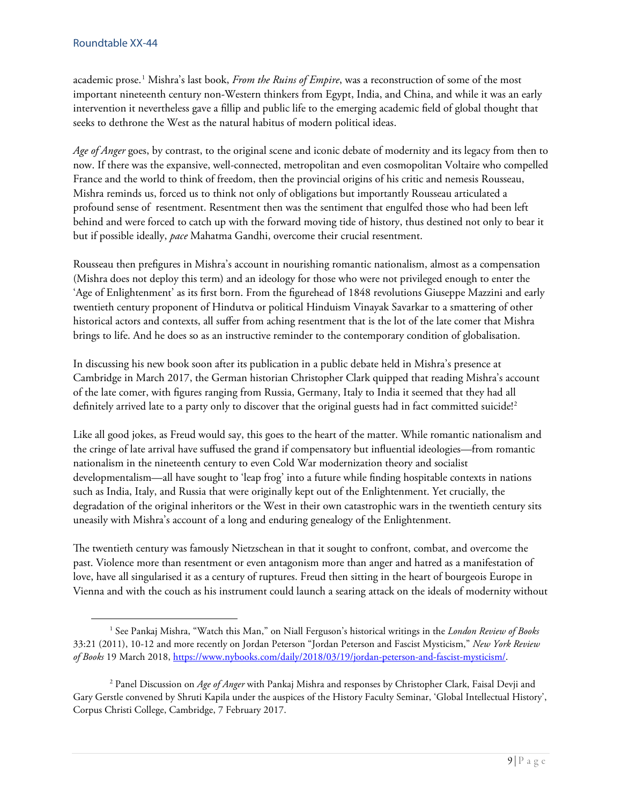academic prose.[1](#page-8-0) Mishra's last book, *From the Ruins of Empire*, was a reconstruction of some of the most important nineteenth century non-Western thinkers from Egypt, India, and China, and while it was an early intervention it nevertheless gave a fillip and public life to the emerging academic field of global thought that seeks to dethrone the West as the natural habitus of modern political ideas.

*Age of Anger* goes, by contrast, to the original scene and iconic debate of modernity and its legacy from then to now. If there was the expansive, well-connected, metropolitan and even cosmopolitan Voltaire who compelled France and the world to think of freedom, then the provincial origins of his critic and nemesis Rousseau, Mishra reminds us, forced us to think not only of obligations but importantly Rousseau articulated a profound sense of resentment. Resentment then was the sentiment that engulfed those who had been left behind and were forced to catch up with the forward moving tide of history, thus destined not only to bear it but if possible ideally, *pace* Mahatma Gandhi, overcome their crucial resentment.

Rousseau then prefigures in Mishra's account in nourishing romantic nationalism, almost as a compensation (Mishra does not deploy this term) and an ideology for those who were not privileged enough to enter the 'Age of Enlightenment' as its first born. From the figurehead of 1848 revolutions Giuseppe Mazzini and early twentieth century proponent of Hindutva or political Hinduism Vinayak Savarkar to a smattering of other historical actors and contexts, all suffer from aching resentment that is the lot of the late comer that Mishra brings to life. And he does so as an instructive reminder to the contemporary condition of globalisation.

In discussing his new book soon after its publication in a public debate held in Mishra's presence at Cambridge in March 2017, the German historian Christopher Clark quipped that reading Mishra's account of the late comer, with figures ranging from Russia, Germany, Italy to India it seemed that they had all definitely arrived late to a party only to discover that the original guests had in fact committed suicide!<sup>[2](#page-8-1)</sup>

Like all good jokes, as Freud would say, this goes to the heart of the matter. While romantic nationalism and the cringe of late arrival have suffused the grand if compensatory but influential ideologies—from romantic nationalism in the nineteenth century to even Cold War modernization theory and socialist developmentalism—all have sought to 'leap frog' into a future while finding hospitable contexts in nations such as India, Italy, and Russia that were originally kept out of the Enlightenment. Yet crucially, the degradation of the original inheritors or the West in their own catastrophic wars in the twentieth century sits uneasily with Mishra's account of a long and enduring genealogy of the Enlightenment.

The twentieth century was famously Nietzschean in that it sought to confront, combat, and overcome the past. Violence more than resentment or even antagonism more than anger and hatred as a manifestation of love, have all singularised it as a century of ruptures. Freud then sitting in the heart of bourgeois Europe in Vienna and with the couch as his instrument could launch a searing attack on the ideals of modernity without

<span id="page-8-0"></span> <sup>1</sup> See Pankaj Mishra, "Watch this Man," on Niall Ferguson's historical writings in the *London Review of Books* 33:21 (2011), 10-12 and more recently on Jordan Peterson "Jordan Peterson and Fascist Mysticism," *New York Review of Books* 19 March 2018, [https://www.nybooks.com/daily/2018/03/19/jordan-peterson-and-fascist-mysticism/.](https://www.nybooks.com/daily/2018/03/19/jordan-peterson-and-fascist-mysticism/)

<span id="page-8-1"></span><sup>2</sup> Panel Discussion on *Age of Anger* with Pankaj Mishra and responses by Christopher Clark, Faisal Devji and Gary Gerstle convened by Shruti Kapila under the auspices of the History Faculty Seminar, 'Global Intellectual History', Corpus Christi College, Cambridge, 7 February 2017.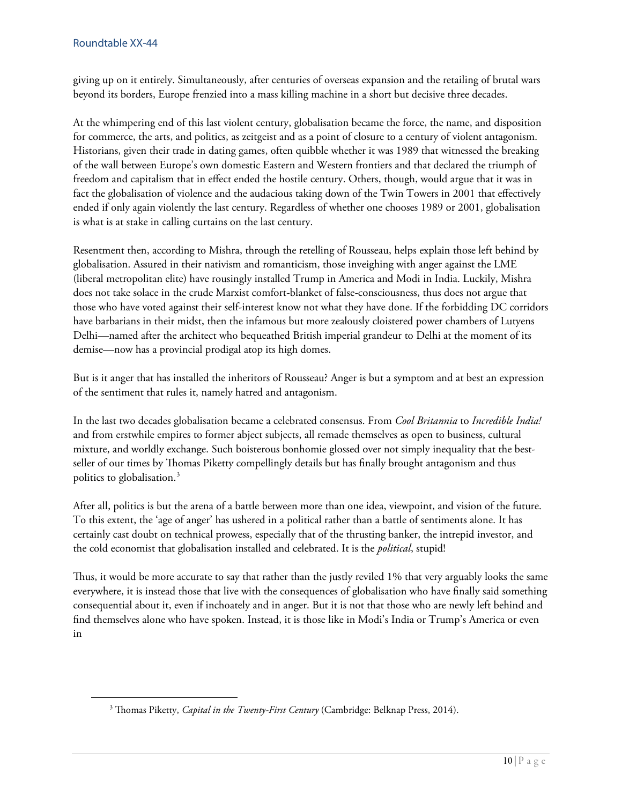giving up on it entirely. Simultaneously, after centuries of overseas expansion and the retailing of brutal wars beyond its borders, Europe frenzied into a mass killing machine in a short but decisive three decades.

At the whimpering end of this last violent century, globalisation became the force, the name, and disposition for commerce, the arts, and politics, as zeitgeist and as a point of closure to a century of violent antagonism. Historians, given their trade in dating games, often quibble whether it was 1989 that witnessed the breaking of the wall between Europe's own domestic Eastern and Western frontiers and that declared the triumph of freedom and capitalism that in effect ended the hostile century. Others, though, would argue that it was in fact the globalisation of violence and the audacious taking down of the Twin Towers in 2001 that effectively ended if only again violently the last century. Regardless of whether one chooses 1989 or 2001, globalisation is what is at stake in calling curtains on the last century.

Resentment then, according to Mishra, through the retelling of Rousseau, helps explain those left behind by globalisation. Assured in their nativism and romanticism, those inveighing with anger against the LME (liberal metropolitan elite) have rousingly installed Trump in America and Modi in India. Luckily, Mishra does not take solace in the crude Marxist comfort-blanket of false-consciousness, thus does not argue that those who have voted against their self-interest know not what they have done. If the forbidding DC corridors have barbarians in their midst, then the infamous but more zealously cloistered power chambers of Lutyens Delhi—named after the architect who bequeathed British imperial grandeur to Delhi at the moment of its demise—now has a provincial prodigal atop its high domes.

But is it anger that has installed the inheritors of Rousseau? Anger is but a symptom and at best an expression of the sentiment that rules it, namely hatred and antagonism.

In the last two decades globalisation became a celebrated consensus. From *Cool Britannia* to *Incredible India!* and from erstwhile empires to former abject subjects, all remade themselves as open to business, cultural mixture, and worldly exchange. Such boisterous bonhomie glossed over not simply inequality that the bestseller of our times by Thomas Piketty compellingly details but has finally brought antagonism and thus politics to globalisation.[3](#page-9-0)

After all, politics is but the arena of a battle between more than one idea, viewpoint, and vision of the future. To this extent, the 'age of anger' has ushered in a political rather than a battle of sentiments alone. It has certainly cast doubt on technical prowess, especially that of the thrusting banker, the intrepid investor, and the cold economist that globalisation installed and celebrated. It is the *political*, stupid!

Thus, it would be more accurate to say that rather than the justly reviled 1% that very arguably looks the same everywhere, it is instead those that live with the consequences of globalisation who have finally said something consequential about it, even if inchoately and in anger. But it is not that those who are newly left behind and find themselves alone who have spoken. Instead, it is those like in Modi's India or Trump's America or even in

<span id="page-9-0"></span><sup>&</sup>lt;sup>3</sup> Thomas Piketty, *Capital in the Twenty-First Century* (Cambridge: Belknap Press, 2014).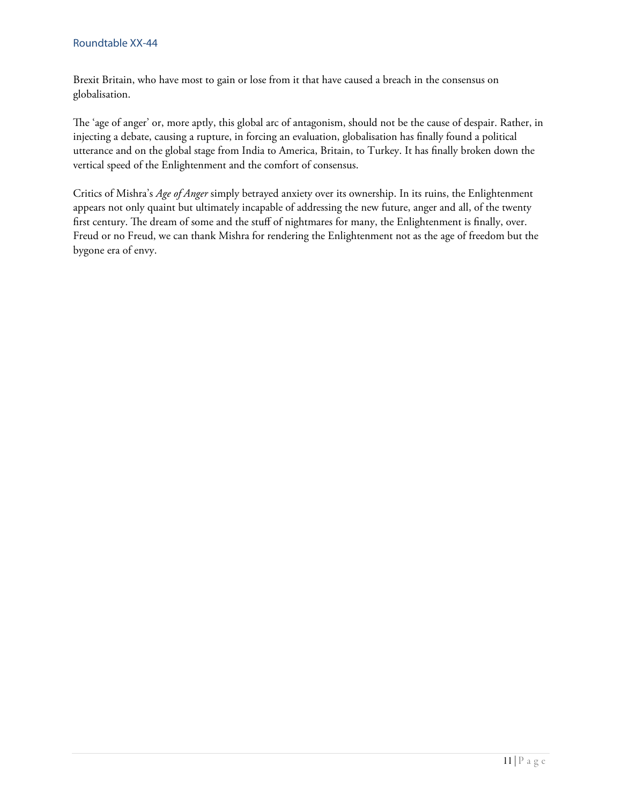#### Roundtable XX-44

Brexit Britain, who have most to gain or lose from it that have caused a breach in the consensus on globalisation.

The 'age of anger' or, more aptly, this global arc of antagonism, should not be the cause of despair. Rather, in injecting a debate, causing a rupture, in forcing an evaluation, globalisation has finally found a political utterance and on the global stage from India to America, Britain, to Turkey. It has finally broken down the vertical speed of the Enlightenment and the comfort of consensus.

Critics of Mishra's *Age of Anger* simply betrayed anxiety over its ownership. In its ruins, the Enlightenment appears not only quaint but ultimately incapable of addressing the new future, anger and all, of the twenty first century. The dream of some and the stuff of nightmares for many, the Enlightenment is finally, over. Freud or no Freud, we can thank Mishra for rendering the Enlightenment not as the age of freedom but the bygone era of envy.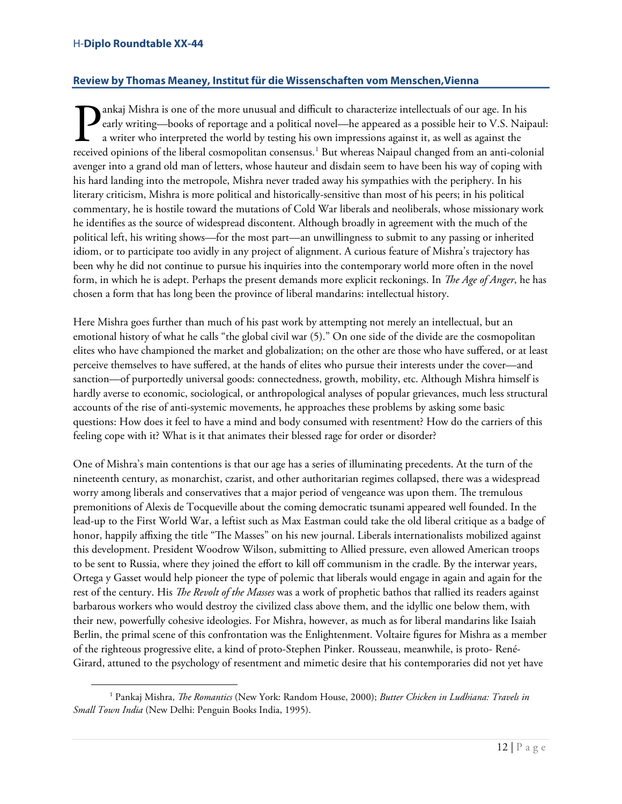# <span id="page-11-0"></span>**Review by Thomas Meaney, Institut für die Wissenschaften vom Menschen,Vienna**

ankaj Mishra is one of the more unusual and difficult to characterize intellectuals of our age. In his early writing—books of reportage and a political novel—he appeared as a possible heir to V.S. Naipaul: a writer who interpreted the world by testing his own impressions against it, as well as against the **Pankaj Mishra is one of the more unusual and difficult to characterize intellectuals of our age. In his early writing—books of reportage and a political novel—he appeared as a possible heir to V.S. Naipaul: a writer who i** avenger into a grand old man of letters, whose hauteur and disdain seem to have been his way of coping with his hard landing into the metropole, Mishra never traded away his sympathies with the periphery. In his literary criticism, Mishra is more political and historically-sensitive than most of his peers; in his political commentary, he is hostile toward the mutations of Cold War liberals and neoliberals, whose missionary work he identifies as the source of widespread discontent. Although broadly in agreement with the much of the political left, his writing shows—for the most part—an unwillingness to submit to any passing or inherited idiom, or to participate too avidly in any project of alignment. A curious feature of Mishra's trajectory has been why he did not continue to pursue his inquiries into the contemporary world more often in the novel form, in which he is adept. Perhaps the present demands more explicit reckonings. In *The Age of Anger*, he has chosen a form that has long been the province of liberal mandarins: intellectual history.

Here Mishra goes further than much of his past work by attempting not merely an intellectual, but an emotional history of what he calls "the global civil war (5)." On one side of the divide are the cosmopolitan elites who have championed the market and globalization; on the other are those who have suffered, or at least perceive themselves to have suffered, at the hands of elites who pursue their interests under the cover—and sanction—of purportedly universal goods: connectedness, growth, mobility, etc. Although Mishra himself is hardly averse to economic, sociological, or anthropological analyses of popular grievances, much less structural accounts of the rise of anti-systemic movements, he approaches these problems by asking some basic questions: How does it feel to have a mind and body consumed with resentment? How do the carriers of this feeling cope with it? What is it that animates their blessed rage for order or disorder?

One of Mishra's main contentions is that our age has a series of illuminating precedents. At the turn of the nineteenth century, as monarchist, czarist, and other authoritarian regimes collapsed, there was a widespread worry among liberals and conservatives that a major period of vengeance was upon them. The tremulous premonitions of Alexis de Tocqueville about the coming democratic tsunami appeared well founded. In the lead-up to the First World War, a leftist such as Max Eastman could take the old liberal critique as a badge of honor, happily affixing the title "The Masses" on his new journal. Liberals internationalists mobilized against this development. President Woodrow Wilson, submitting to Allied pressure, even allowed American troops to be sent to Russia, where they joined the effort to kill off communism in the cradle. By the interwar years, Ortega y Gasset would help pioneer the type of polemic that liberals would engage in again and again for the rest of the century. His *The Revolt of the Masses* was a work of prophetic bathos that rallied its readers against barbarous workers who would destroy the civilized class above them, and the idyllic one below them, with their new, powerfully cohesive ideologies. For Mishra, however, as much as for liberal mandarins like Isaiah Berlin, the primal scene of this confrontation was the Enlightenment. Voltaire figures for Mishra as a member of the righteous progressive elite, a kind of proto-Stephen Pinker. Rousseau, meanwhile, is proto- René-Girard, attuned to the psychology of resentment and mimetic desire that his contemporaries did not yet have

<span id="page-11-1"></span><sup>&</sup>lt;sup>1</sup> Pankaj Mishra, *The Romantics* (New York: Random House, 2000); *Butter Chicken in Ludhiana: Travels in Small Town India* (New Delhi: Penguin Books India, 1995).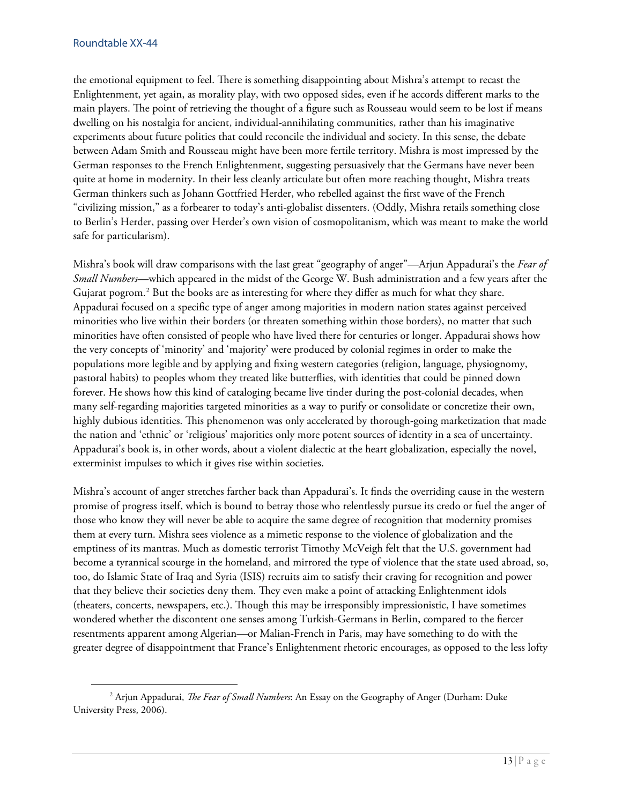the emotional equipment to feel. There is something disappointing about Mishra's attempt to recast the Enlightenment, yet again, as morality play, with two opposed sides, even if he accords different marks to the main players. The point of retrieving the thought of a figure such as Rousseau would seem to be lost if means dwelling on his nostalgia for ancient, individual-annihilating communities, rather than his imaginative experiments about future polities that could reconcile the individual and society. In this sense, the debate between Adam Smith and Rousseau might have been more fertile territory. Mishra is most impressed by the German responses to the French Enlightenment, suggesting persuasively that the Germans have never been quite at home in modernity. In their less cleanly articulate but often more reaching thought, Mishra treats German thinkers such as Johann Gottfried Herder, who rebelled against the first wave of the French "civilizing mission," as a forbearer to today's anti-globalist dissenters. (Oddly, Mishra retails something close to Berlin's Herder, passing over Herder's own vision of cosmopolitanism, which was meant to make the world safe for particularism).

Mishra's book will draw comparisons with the last great "geography of anger"—Arjun Appadurai's the *Fear of Small Numbers*—which appeared in the midst of the George W. Bush administration and a few years after the Gujarat pogrom.<sup>[2](#page-12-0)</sup> But the books are as interesting for where they differ as much for what they share. Appadurai focused on a specific type of anger among majorities in modern nation states against perceived minorities who live within their borders (or threaten something within those borders), no matter that such minorities have often consisted of people who have lived there for centuries or longer. Appadurai shows how the very concepts of 'minority' and 'majority' were produced by colonial regimes in order to make the populations more legible and by applying and fixing western categories (religion, language, physiognomy, pastoral habits) to peoples whom they treated like butterflies, with identities that could be pinned down forever. He shows how this kind of cataloging became live tinder during the post-colonial decades, when many self-regarding majorities targeted minorities as a way to purify or consolidate or concretize their own, highly dubious identities. This phenomenon was only accelerated by thorough-going marketization that made the nation and 'ethnic' or 'religious' majorities only more potent sources of identity in a sea of uncertainty. Appadurai's book is, in other words, about a violent dialectic at the heart globalization, especially the novel, exterminist impulses to which it gives rise within societies.

Mishra's account of anger stretches farther back than Appadurai's. It finds the overriding cause in the western promise of progress itself, which is bound to betray those who relentlessly pursue its credo or fuel the anger of those who know they will never be able to acquire the same degree of recognition that modernity promises them at every turn. Mishra sees violence as a mimetic response to the violence of globalization and the emptiness of its mantras. Much as domestic terrorist Timothy McVeigh felt that the U.S. government had become a tyrannical scourge in the homeland, and mirrored the type of violence that the state used abroad, so, too, do Islamic State of Iraq and Syria (ISIS) recruits aim to satisfy their craving for recognition and power that they believe their societies deny them. They even make a point of attacking Enlightenment idols (theaters, concerts, newspapers, etc.). Though this may be irresponsibly impressionistic, I have sometimes wondered whether the discontent one senses among Turkish-Germans in Berlin, compared to the fiercer resentments apparent among Algerian—or Malian-French in Paris, may have something to do with the greater degree of disappointment that France's Enlightenment rhetoric encourages, as opposed to the less lofty

<span id="page-12-0"></span><sup>&</sup>lt;sup>2</sup> Arjun Appadurai, *The Fear of Small Numbers*: An Essay on the Geography of Anger (Durham: Duke University Press, 2006).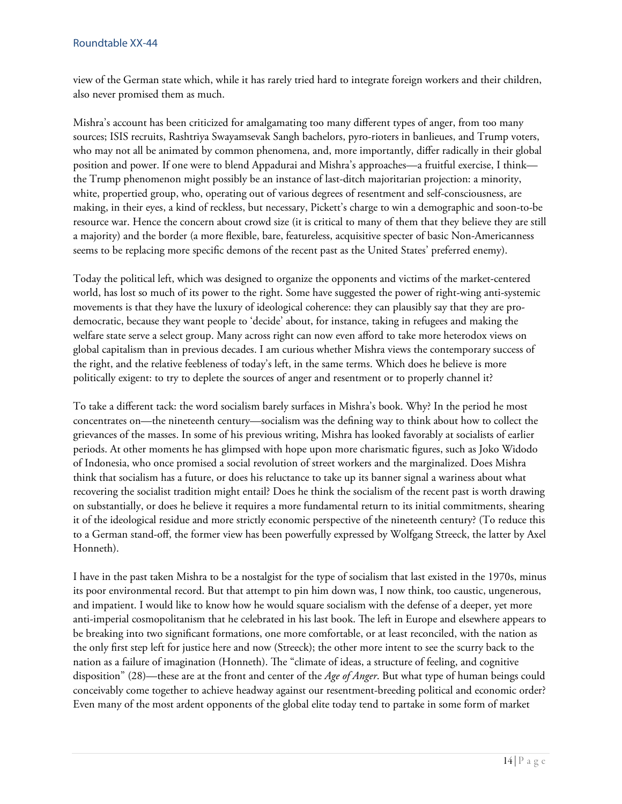view of the German state which, while it has rarely tried hard to integrate foreign workers and their children, also never promised them as much.

Mishra's account has been criticized for amalgamating too many different types of anger, from too many sources; ISIS recruits, Rashtriya Swayamsevak Sangh bachelors, pyro-rioters in banlieues, and Trump voters, who may not all be animated by common phenomena, and, more importantly, differ radically in their global position and power. If one were to blend Appadurai and Mishra's approaches—a fruitful exercise, I think the Trump phenomenon might possibly be an instance of last-ditch majoritarian projection: a minority, white, propertied group, who, operating out of various degrees of resentment and self-consciousness, are making, in their eyes, a kind of reckless, but necessary, Pickett's charge to win a demographic and soon-to-be resource war. Hence the concern about crowd size (it is critical to many of them that they believe they are still a majority) and the border (a more flexible, bare, featureless, acquisitive specter of basic Non-Americanness seems to be replacing more specific demons of the recent past as the United States' preferred enemy).

Today the political left, which was designed to organize the opponents and victims of the market-centered world, has lost so much of its power to the right. Some have suggested the power of right-wing anti-systemic movements is that they have the luxury of ideological coherence: they can plausibly say that they are prodemocratic, because they want people to 'decide' about, for instance, taking in refugees and making the welfare state serve a select group. Many across right can now even afford to take more heterodox views on global capitalism than in previous decades. I am curious whether Mishra views the contemporary success of the right, and the relative feebleness of today's left, in the same terms. Which does he believe is more politically exigent: to try to deplete the sources of anger and resentment or to properly channel it?

To take a different tack: the word socialism barely surfaces in Mishra's book. Why? In the period he most concentrates on—the nineteenth century—socialism was the defining way to think about how to collect the grievances of the masses. In some of his previous writing, Mishra has looked favorably at socialists of earlier periods. At other moments he has glimpsed with hope upon more charismatic figures, such as Joko Widodo of Indonesia, who once promised a social revolution of street workers and the marginalized. Does Mishra think that socialism has a future, or does his reluctance to take up its banner signal a wariness about what recovering the socialist tradition might entail? Does he think the socialism of the recent past is worth drawing on substantially, or does he believe it requires a more fundamental return to its initial commitments, shearing it of the ideological residue and more strictly economic perspective of the nineteenth century? (To reduce this to a German stand-off, the former view has been powerfully expressed by Wolfgang Streeck, the latter by Axel Honneth).

I have in the past taken Mishra to be a nostalgist for the type of socialism that last existed in the 1970s, minus its poor environmental record. But that attempt to pin him down was, I now think, too caustic, ungenerous, and impatient. I would like to know how he would square socialism with the defense of a deeper, yet more anti-imperial cosmopolitanism that he celebrated in his last book. The left in Europe and elsewhere appears to be breaking into two significant formations, one more comfortable, or at least reconciled, with the nation as the only first step left for justice here and now (Streeck); the other more intent to see the scurry back to the nation as a failure of imagination (Honneth). The "climate of ideas, a structure of feeling, and cognitive disposition" (28)—these are at the front and center of the *Age of Anger*. But what type of human beings could conceivably come together to achieve headway against our resentment-breeding political and economic order? Even many of the most ardent opponents of the global elite today tend to partake in some form of market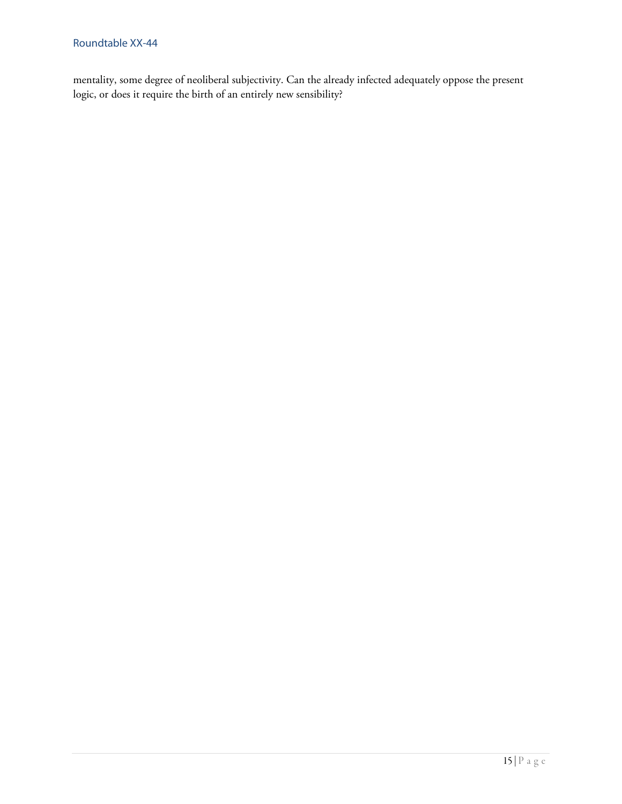mentality, some degree of neoliberal subjectivity. Can the already infected adequately oppose the present logic, or does it require the birth of an entirely new sensibility?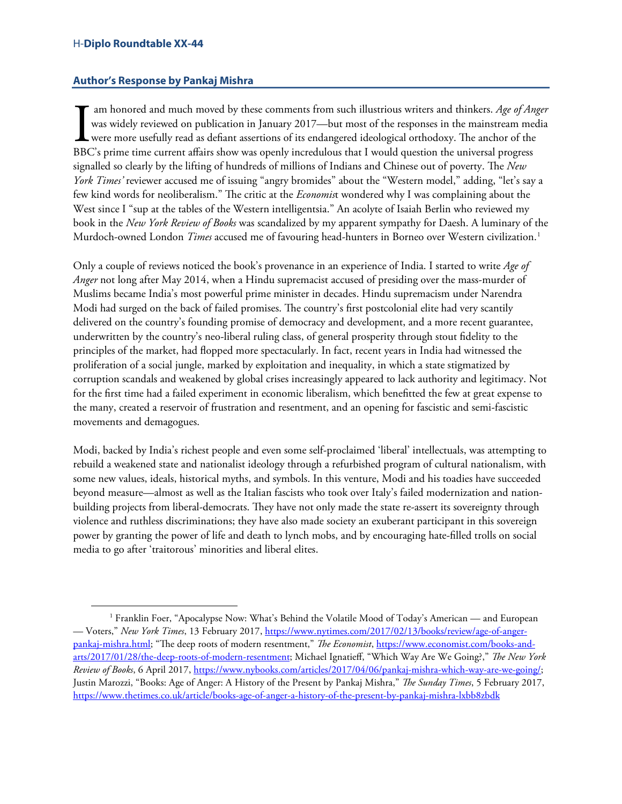# <span id="page-15-0"></span>**Author's Response by Pankaj Mishra**

am honored and much moved by these comments from such illustrious writers and thinkers. *Age of Anger* was widely reviewed on publication in January 2017—but most of the responses in the mainstream media were more usefully read as defiant assertions of its endangered ideological orthodoxy. The anchor of the If am honored and much moved by these comments from such illustrious writers and thinkers. Age of An was widely reviewed on publication in January 2017—but most of the responses in the mainstream mediative were more useful signalled so clearly by the lifting of hundreds of millions of Indians and Chinese out of poverty. The *New York Times'* reviewer accused me of issuing "angry bromides" about the "Western model," adding, "let's say a few kind words for neoliberalism." The critic at the *Economis*t wondered why I was complaining about the West since I "sup at the tables of the Western intelligentsia." An acolyte of Isaiah Berlin who reviewed my book in the *New York Review of Books* was scandalized by my apparent sympathy for Daesh. A luminary of the Murdoch-owned London *Times* accused me of favouring head-hunters in Borneo over Western civilization.<sup>[1](#page-15-1)</sup>

Only a couple of reviews noticed the book's provenance in an experience of India. I started to write *Age of Anger* not long after May 2014, when a Hindu supremacist accused of presiding over the mass-murder of Muslims became India's most powerful prime minister in decades. Hindu supremacism under Narendra Modi had surged on the back of failed promises. The country's first postcolonial elite had very scantily delivered on the country's founding promise of democracy and development, and a more recent guarantee, underwritten by the country's neo-liberal ruling class, of general prosperity through stout fidelity to the principles of the market, had flopped more spectacularly. In fact, recent years in India had witnessed the proliferation of a social jungle, marked by exploitation and inequality, in which a state stigmatized by corruption scandals and weakened by global crises increasingly appeared to lack authority and legitimacy. Not for the first time had a failed experiment in economic liberalism, which benefitted the few at great expense to the many, created a reservoir of frustration and resentment, and an opening for fascistic and semi-fascistic movements and demagogues.

Modi, backed by India's richest people and even some self-proclaimed 'liberal' intellectuals, was attempting to rebuild a weakened state and nationalist ideology through a refurbished program of cultural nationalism, with some new values, ideals, historical myths, and symbols. In this venture, Modi and his toadies have succeeded beyond measure—almost as well as the Italian fascists who took over Italy's failed modernization and nationbuilding projects from liberal-democrats. They have not only made the state re-assert its sovereignty through violence and ruthless discriminations; they have also made society an exuberant participant in this sovereign power by granting the power of life and death to lynch mobs, and by encouraging hate-filled trolls on social media to go after 'traitorous' minorities and liberal elites.

<span id="page-15-1"></span> <sup>1</sup> Franklin Foer, "Apocalypse Now: What's Behind the Volatile Mood of Today's American — and European — Voters," *New York Times*, 13 February 2017, [https://www.nytimes.com/2017/02/13/books/review/age-of-anger](https://www.nytimes.com/2017/02/13/books/review/age-of-anger-pankaj-mishra.html)[pankaj-mishra.html;](https://www.nytimes.com/2017/02/13/books/review/age-of-anger-pankaj-mishra.html) "The deep roots of modern resentment," *The Economist*[, https://www.economist.com/books-and](https://www.economist.com/books-and-arts/2017/01/28/the-deep-roots-of-modern-resentment)[arts/2017/01/28/the-deep-roots-of-modern-resentment;](https://www.economist.com/books-and-arts/2017/01/28/the-deep-roots-of-modern-resentment) Michael Ignatieff, "Which Way Are We Going?," The New York *Review of Books*, 6 April 2017[, https://www.nybooks.com/articles/2017/04/06/pankaj-mishra-which-way-are-we-going/;](https://www.nybooks.com/articles/2017/04/06/pankaj-mishra-which-way-are-we-going/) Justin Marozzi, "Books: Age of Anger: A History of the Present by Pankaj Mishra," *The Sunday Times*, 5 February 2017, <https://www.thetimes.co.uk/article/books-age-of-anger-a-history-of-the-present-by-pankaj-mishra-lxbb8zbdk>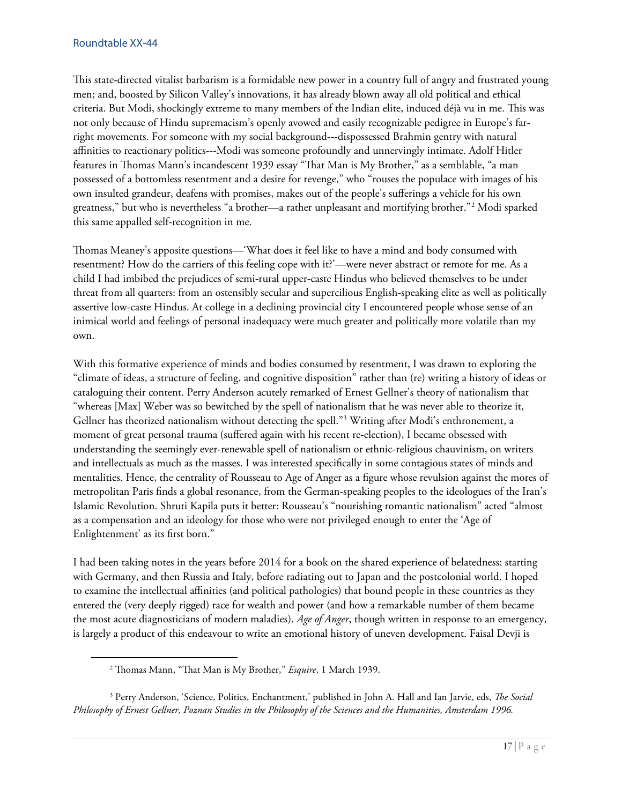This state-directed vitalist barbarism is a formidable new power in a country full of angry and frustrated young men; and, boosted by Silicon Valley's innovations, it has already blown away all old political and ethical criteria. But Modi, shockingly extreme to many members of the Indian elite, induced déjà vu in me. This was not only because of Hindu supremacism's openly avowed and easily recognizable pedigree in Europe's farright movements. For someone with my social background---dispossessed Brahmin gentry with natural affinities to reactionary politics---Modi was someone profoundly and unnervingly intimate. Adolf Hitler features in Thomas Mann's incandescent 1939 essay "That Man is My Brother," as a semblable, "a man possessed of a bottomless resentment and a desire for revenge," who "rouses the populace with images of his own insulted grandeur, deafens with promises, makes out of the people's sufferings a vehicle for his own greatness," but who is nevertheless "a brother—a rather unpleasant and mortifying brother."[2](#page-16-0) Modi sparked this same appalled self-recognition in me.

Thomas Meaney's apposite questions—'What does it feel like to have a mind and body consumed with resentment? How do the carriers of this feeling cope with it?'—were never abstract or remote for me. As a child I had imbibed the prejudices of semi-rural upper-caste Hindus who believed themselves to be under threat from all quarters: from an ostensibly secular and supercilious English-speaking elite as well as politically assertive low-caste Hindus. At college in a declining provincial city I encountered people whose sense of an inimical world and feelings of personal inadequacy were much greater and politically more volatile than my own.

With this formative experience of minds and bodies consumed by resentment, I was drawn to exploring the "climate of ideas, a structure of feeling, and cognitive disposition" rather than (re) writing a history of ideas or cataloguing their content. Perry Anderson acutely remarked of Ernest Gellner's theory of nationalism that "whereas [Max] Weber was so bewitched by the spell of nationalism that he was never able to theorize it, Gellner has theorized nationalism without detecting the spell."[3](#page-16-1) Writing after Modi's enthronement, a moment of great personal trauma (suffered again with his recent re-election), I became obsessed with understanding the seemingly ever-renewable spell of nationalism or ethnic-religious chauvinism, on writers and intellectuals as much as the masses. I was interested specifically in some contagious states of minds and mentalities. Hence, the centrality of Rousseau to Age of Anger as a figure whose revulsion against the mores of metropolitan Paris finds a global resonance, from the German-speaking peoples to the ideologues of the Iran's Islamic Revolution. Shruti Kapila puts it better: Rousseau's "nourishing romantic nationalism" acted "almost as a compensation and an ideology for those who were not privileged enough to enter the 'Age of Enlightenment' as its first born."

I had been taking notes in the years before 2014 for a book on the shared experience of belatedness: starting with Germany, and then Russia and Italy, before radiating out to Japan and the postcolonial world. I hoped to examine the intellectual affinities (and political pathologies) that bound people in these countries as they entered the (very deeply rigged) race for wealth and power (and how a remarkable number of them became the most acute diagnosticians of modern maladies). *Age of Anger*, though written in response to an emergency, is largely a product of this endeavour to write an emotional history of uneven development. Faisal Devji is

<sup>&</sup>lt;sup>2</sup> Thomas Mann, "That Man is My Brother," *Esquire*, 1 March 1939.

<span id="page-16-1"></span><span id="page-16-0"></span><sup>&</sup>lt;sup>3</sup> Perry Anderson, 'Science, Politics, Enchantment,' published in John A. Hall and Ian Jarvie, eds, *The Social Philosophy of Ernest Gellner, Poznan Studies in the Philosophy of the Sciences and the Humanities, Amsterdam 1996.*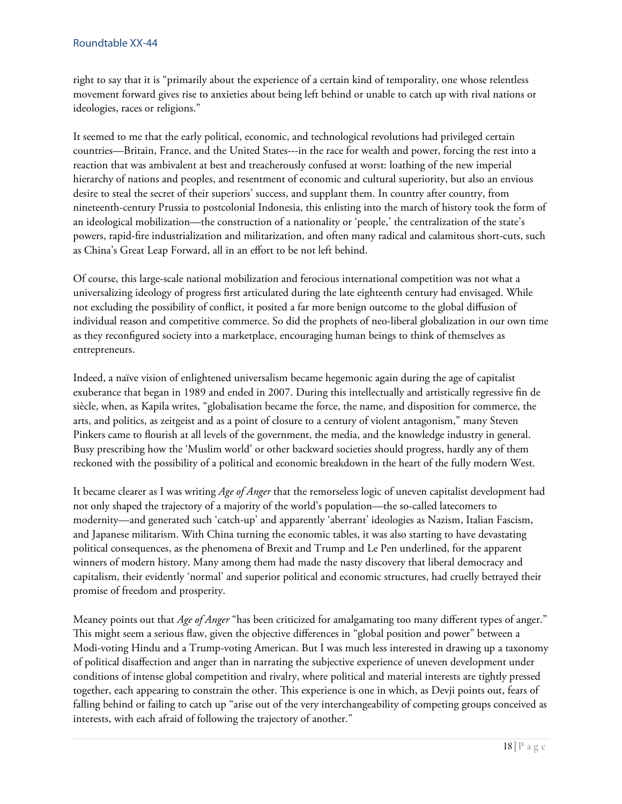right to say that it is "primarily about the experience of a certain kind of temporality, one whose relentless movement forward gives rise to anxieties about being left behind or unable to catch up with rival nations or ideologies, races or religions."

It seemed to me that the early political, economic, and technological revolutions had privileged certain countries—Britain, France, and the United States---in the race for wealth and power, forcing the rest into a reaction that was ambivalent at best and treacherously confused at worst: loathing of the new imperial hierarchy of nations and peoples, and resentment of economic and cultural superiority, but also an envious desire to steal the secret of their superiors' success, and supplant them. In country after country, from nineteenth-century Prussia to postcolonial Indonesia, this enlisting into the march of history took the form of an ideological mobilization—the construction of a nationality or 'people,' the centralization of the state's powers, rapid-fire industrialization and militarization, and often many radical and calamitous short-cuts, such as China's Great Leap Forward, all in an effort to be not left behind.

Of course, this large-scale national mobilization and ferocious international competition was not what a universalizing ideology of progress first articulated during the late eighteenth century had envisaged. While not excluding the possibility of conflict, it posited a far more benign outcome to the global diffusion of individual reason and competitive commerce. So did the prophets of neo-liberal globalization in our own time as they reconfigured society into a marketplace, encouraging human beings to think of themselves as entrepreneurs.

Indeed, a naïve vision of enlightened universalism became hegemonic again during the age of capitalist exuberance that began in 1989 and ended in 2007. During this intellectually and artistically regressive fin de siècle, when, as Kapila writes, "globalisation became the force, the name, and disposition for commerce, the arts, and politics, as zeitgeist and as a point of closure to a century of violent antagonism," many Steven Pinkers came to flourish at all levels of the government, the media, and the knowledge industry in general. Busy prescribing how the 'Muslim world' or other backward societies should progress, hardly any of them reckoned with the possibility of a political and economic breakdown in the heart of the fully modern West.

It became clearer as I was writing *Age of Anger* that the remorseless logic of uneven capitalist development had not only shaped the trajectory of a majority of the world's population—the so-called latecomers to modernity—and generated such 'catch-up' and apparently 'aberrant' ideologies as Nazism, Italian Fascism, and Japanese militarism. With China turning the economic tables, it was also starting to have devastating political consequences, as the phenomena of Brexit and Trump and Le Pen underlined, for the apparent winners of modern history. Many among them had made the nasty discovery that liberal democracy and capitalism, their evidently 'normal' and superior political and economic structures, had cruelly betrayed their promise of freedom and prosperity.

Meaney points out that *Age of Anger* "has been criticized for amalgamating too many different types of anger." This might seem a serious flaw, given the objective differences in "global position and power" between a Modi-voting Hindu and a Trump-voting American. But I was much less interested in drawing up a taxonomy of political disaffection and anger than in narrating the subjective experience of uneven development under conditions of intense global competition and rivalry, where political and material interests are tightly pressed together, each appearing to constrain the other. This experience is one in which, as Devji points out, fears of falling behind or failing to catch up "arise out of the very interchangeability of competing groups conceived as interests, with each afraid of following the trajectory of another."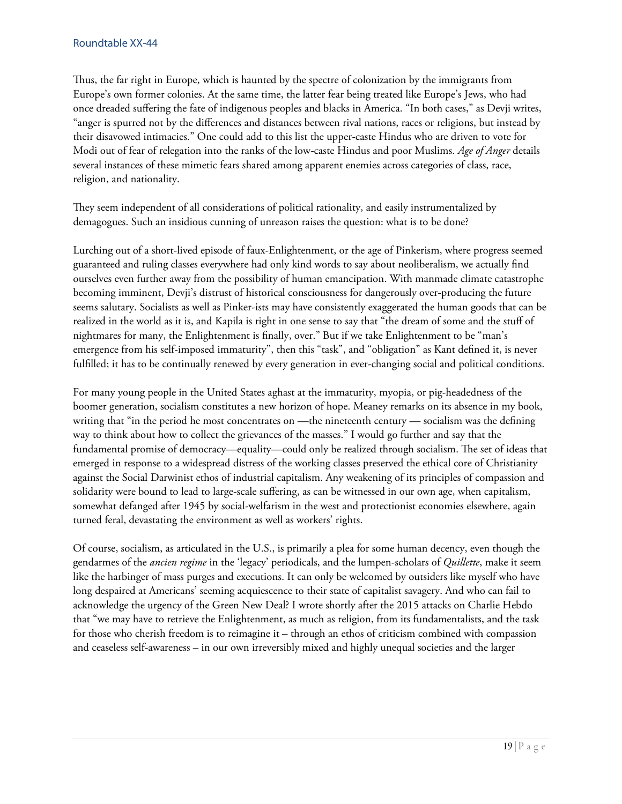Thus, the far right in Europe, which is haunted by the spectre of colonization by the immigrants from Europe's own former colonies. At the same time, the latter fear being treated like Europe's Jews, who had once dreaded suffering the fate of indigenous peoples and blacks in America. "In both cases," as Devji writes, "anger is spurred not by the differences and distances between rival nations, races or religions, but instead by their disavowed intimacies." One could add to this list the upper-caste Hindus who are driven to vote for Modi out of fear of relegation into the ranks of the low-caste Hindus and poor Muslims. *Age of Anger* details several instances of these mimetic fears shared among apparent enemies across categories of class, race, religion, and nationality.

They seem independent of all considerations of political rationality, and easily instrumentalized by demagogues. Such an insidious cunning of unreason raises the question: what is to be done?

Lurching out of a short-lived episode of faux-Enlightenment, or the age of Pinkerism, where progress seemed guaranteed and ruling classes everywhere had only kind words to say about neoliberalism, we actually find ourselves even further away from the possibility of human emancipation. With manmade climate catastrophe becoming imminent, Devji's distrust of historical consciousness for dangerously over-producing the future seems salutary. Socialists as well as Pinker-ists may have consistently exaggerated the human goods that can be realized in the world as it is, and Kapila is right in one sense to say that "the dream of some and the stuff of nightmares for many, the Enlightenment is finally, over." But if we take Enlightenment to be "man's emergence from his self-imposed immaturity", then this "task", and "obligation" as Kant defined it, is never fulfilled; it has to be continually renewed by every generation in ever-changing social and political conditions.

For many young people in the United States aghast at the immaturity, myopia, or pig-headedness of the boomer generation, socialism constitutes a new horizon of hope. Meaney remarks on its absence in my book, writing that "in the period he most concentrates on —the nineteenth century — socialism was the defining way to think about how to collect the grievances of the masses." I would go further and say that the fundamental promise of democracy—equality—could only be realized through socialism. The set of ideas that emerged in response to a widespread distress of the working classes preserved the ethical core of Christianity against the Social Darwinist ethos of industrial capitalism. Any weakening of its principles of compassion and solidarity were bound to lead to large-scale suffering, as can be witnessed in our own age, when capitalism, somewhat defanged after 1945 by social-welfarism in the west and protectionist economies elsewhere, again turned feral, devastating the environment as well as workers' rights.

Of course, socialism, as articulated in the U.S., is primarily a plea for some human decency, even though the gendarmes of the *ancien regime* in the 'legacy' periodicals, and the lumpen-scholars of *Quillette*, make it seem like the harbinger of mass purges and executions. It can only be welcomed by outsiders like myself who have long despaired at Americans' seeming acquiescence to their state of capitalist savagery. And who can fail to acknowledge the urgency of the Green New Deal? I wrote shortly after the 2015 attacks on Charlie Hebdo that "we may have to retrieve the Enlightenment, as much as religion, from its fundamentalists, and the task for those who cherish freedom is to reimagine it – through an ethos of criticism combined with compassion and ceaseless self-awareness – in our own irreversibly mixed and highly unequal societies and the larger